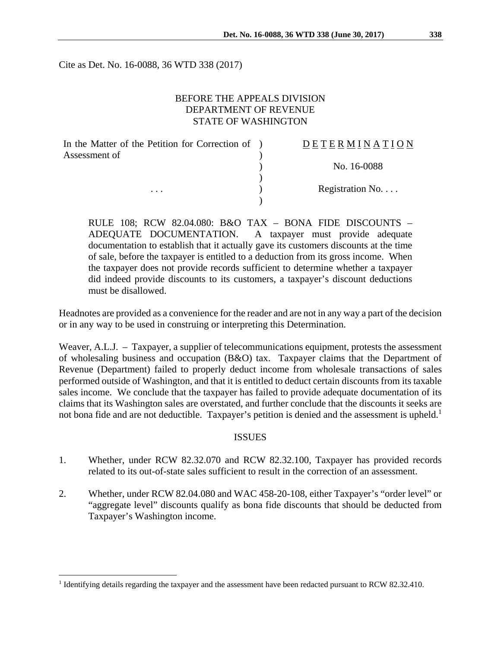Cite as Det. No. 16-0088, 36 WTD 338 (2017)

## BEFORE THE APPEALS DIVISION DEPARTMENT OF REVENUE STATE OF WASHINGTON

| In the Matter of the Petition for Correction of ) | DETERMINATION   |
|---------------------------------------------------|-----------------|
| Assessment of                                     |                 |
|                                                   | No. 16-0088     |
|                                                   |                 |
| $\cdots$                                          | Registration No |
|                                                   |                 |

RULE 108; RCW 82.04.080: B&O TAX – BONA FIDE DISCOUNTS – ADEQUATE DOCUMENTATION. A taxpayer must provide adequate documentation to establish that it actually gave its customers discounts at the time of sale, before the taxpayer is entitled to a deduction from its gross income. When the taxpayer does not provide records sufficient to determine whether a taxpayer did indeed provide discounts to its customers, a taxpayer's discount deductions must be disallowed.

Headnotes are provided as a convenience for the reader and are not in any way a part of the decision or in any way to be used in construing or interpreting this Determination.

Weaver, A.L.J. – Taxpayer, a supplier of telecommunications equipment, protests the assessment of wholesaling business and occupation (B&O) tax. Taxpayer claims that the Department of Revenue (Department) failed to properly deduct income from wholesale transactions of sales performed outside of Washington, and that it is entitled to deduct certain discounts from its taxable sales income. We conclude that the taxpayer has failed to provide adequate documentation of its claims that its Washington sales are overstated, and further conclude that the discounts it seeks are not bona fide and are not deductible. Taxpayer's petition is denied and the assessment is upheld.<sup>1</sup>

#### ISSUES

- 1. Whether, under RCW 82.32.070 and RCW 82.32.100, Taxpayer has provided records related to its out-of-state sales sufficient to result in the correction of an assessment.
- 2. Whether, under RCW 82.04.080 and WAC 458-20-108, either Taxpayer's "order level" or "aggregate level" discounts qualify as bona fide discounts that should be deducted from Taxpayer's Washington income.

1

<sup>&</sup>lt;sup>1</sup> Identifying details regarding the taxpayer and the assessment have been redacted pursuant to RCW 82.32.410.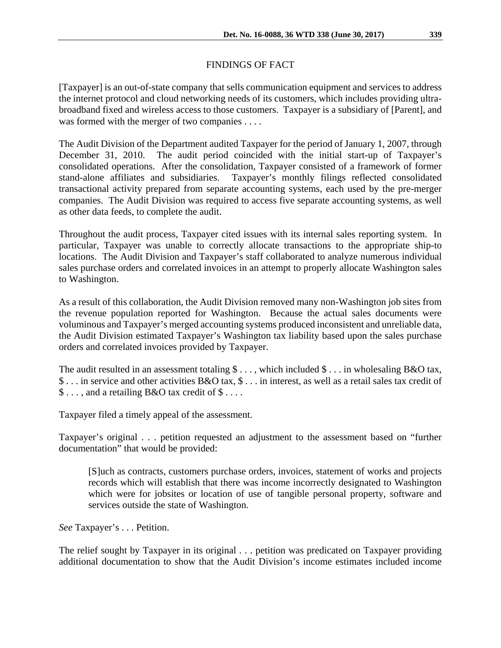# FINDINGS OF FACT

[Taxpayer] is an out-of-state company that sells communication equipment and services to address the internet protocol and cloud networking needs of its customers, which includes providing ultrabroadband fixed and wireless access to those customers. Taxpayer is a subsidiary of [Parent], and was formed with the merger of two companies . . . .

The Audit Division of the Department audited Taxpayer for the period of January 1, 2007, through December 31, 2010. The audit period coincided with the initial start-up of Taxpayer's consolidated operations. After the consolidation, Taxpayer consisted of a framework of former stand-alone affiliates and subsidiaries. Taxpayer's monthly filings reflected consolidated transactional activity prepared from separate accounting systems, each used by the pre-merger companies. The Audit Division was required to access five separate accounting systems, as well as other data feeds, to complete the audit.

Throughout the audit process, Taxpayer cited issues with its internal sales reporting system. In particular, Taxpayer was unable to correctly allocate transactions to the appropriate ship-to locations. The Audit Division and Taxpayer's staff collaborated to analyze numerous individual sales purchase orders and correlated invoices in an attempt to properly allocate Washington sales to Washington.

As a result of this collaboration, the Audit Division removed many non-Washington job sites from the revenue population reported for Washington. Because the actual sales documents were voluminous and Taxpayer's merged accounting systems produced inconsistent and unreliable data, the Audit Division estimated Taxpayer's Washington tax liability based upon the sales purchase orders and correlated invoices provided by Taxpayer.

The audit resulted in an assessment totaling  $\text{\$} \ldots$ , which included  $\text{\$} \ldots$  in wholesaling B&O tax, \$ . . . in service and other activities B&O tax, \$ . . . in interest, as well as a retail sales tax credit of \$ . . . , and a retailing B&O tax credit of \$ . . . .

Taxpayer filed a timely appeal of the assessment.

Taxpayer's original . . . petition requested an adjustment to the assessment based on "further documentation" that would be provided:

[S]uch as contracts, customers purchase orders, invoices, statement of works and projects records which will establish that there was income incorrectly designated to Washington which were for jobsites or location of use of tangible personal property, software and services outside the state of Washington.

*See* Taxpayer's . . . Petition.

The relief sought by Taxpayer in its original . . . petition was predicated on Taxpayer providing additional documentation to show that the Audit Division's income estimates included income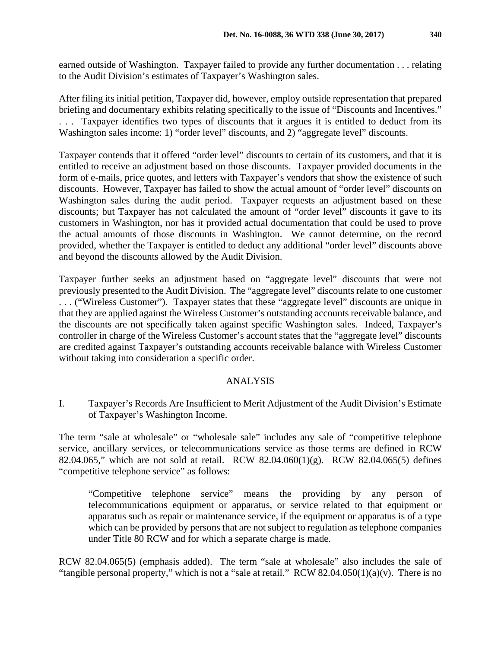earned outside of Washington. Taxpayer failed to provide any further documentation . . . relating to the Audit Division's estimates of Taxpayer's Washington sales.

After filing its initial petition, Taxpayer did, however, employ outside representation that prepared briefing and documentary exhibits relating specifically to the issue of "Discounts and Incentives." . . . Taxpayer identifies two types of discounts that it argues it is entitled to deduct from its Washington sales income: 1) "order level" discounts, and 2) "aggregate level" discounts.

Taxpayer contends that it offered "order level" discounts to certain of its customers, and that it is entitled to receive an adjustment based on those discounts. Taxpayer provided documents in the form of e-mails, price quotes, and letters with Taxpayer's vendors that show the existence of such discounts. However, Taxpayer has failed to show the actual amount of "order level" discounts on Washington sales during the audit period. Taxpayer requests an adjustment based on these discounts; but Taxpayer has not calculated the amount of "order level" discounts it gave to its customers in Washington, nor has it provided actual documentation that could be used to prove the actual amounts of those discounts in Washington. We cannot determine, on the record provided, whether the Taxpayer is entitled to deduct any additional "order level" discounts above and beyond the discounts allowed by the Audit Division.

Taxpayer further seeks an adjustment based on "aggregate level" discounts that were not previously presented to the Audit Division. The "aggregate level" discounts relate to one customer . . . ("Wireless Customer"). Taxpayer states that these "aggregate level" discounts are unique in that they are applied against the Wireless Customer's outstanding accounts receivable balance, and the discounts are not specifically taken against specific Washington sales. Indeed, Taxpayer's controller in charge of the Wireless Customer's account states that the "aggregate level" discounts are credited against Taxpayer's outstanding accounts receivable balance with Wireless Customer without taking into consideration a specific order.

## ANALYSIS

I. Taxpayer's Records Are Insufficient to Merit Adjustment of the Audit Division's Estimate of Taxpayer's Washington Income.

The term "sale at wholesale" or "wholesale sale" includes any sale of "competitive telephone service, ancillary services, or telecommunications service as those terms are defined in RCW 82.04.065," which are not sold at retail. RCW 82.04.060(1)(g). RCW 82.04.065(5) defines "competitive telephone service" as follows:

"Competitive telephone service" means the providing by any person of telecommunications equipment or apparatus, or service related to that equipment or apparatus such as repair or maintenance service, if the equipment or apparatus is of a type which can be provided by persons that are not subject to regulation as telephone companies under Title 80 RCW and for which a separate charge is made.

RCW 82.04.065(5) (emphasis added). The term "sale at wholesale" also includes the sale of "tangible personal property," which is not a "sale at retail." RCW 82.04.050(1)(a)(v). There is no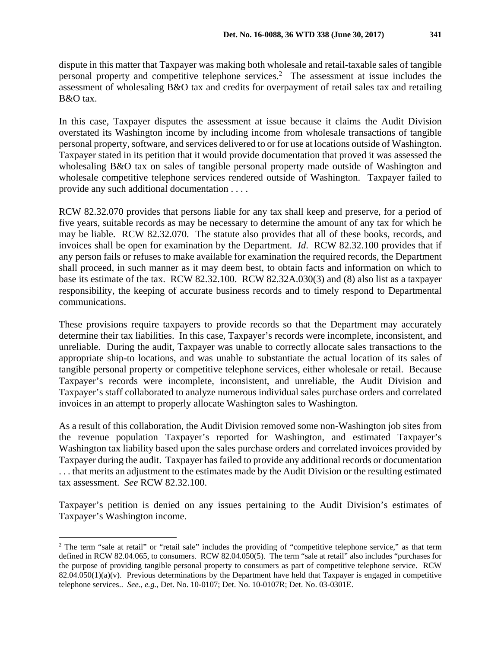dispute in this matter that Taxpayer was making both wholesale and retail-taxable sales of tangible personal property and competitive telephone services.<sup>2</sup> The assessment at issue includes the assessment of wholesaling B&O tax and credits for overpayment of retail sales tax and retailing B&O tax.

In this case, Taxpayer disputes the assessment at issue because it claims the Audit Division overstated its Washington income by including income from wholesale transactions of tangible personal property, software, and services delivered to or for use at locations outside of Washington. Taxpayer stated in its petition that it would provide documentation that proved it was assessed the wholesaling B&O tax on sales of tangible personal property made outside of Washington and wholesale competitive telephone services rendered outside of Washington. Taxpayer failed to provide any such additional documentation . . . .

RCW 82.32.070 provides that persons liable for any tax shall keep and preserve, for a period of five years, suitable records as may be necessary to determine the amount of any tax for which he may be liable. RCW 82.32.070. The statute also provides that all of these books, records, and invoices shall be open for examination by the Department. *Id*. RCW 82.32.100 provides that if any person fails or refuses to make available for examination the required records, the Department shall proceed, in such manner as it may deem best, to obtain facts and information on which to base its estimate of the tax. RCW 82.32.100. RCW 82.32A.030(3) and (8) also list as a taxpayer responsibility, the keeping of accurate business records and to timely respond to Departmental communications.

These provisions require taxpayers to provide records so that the Department may accurately determine their tax liabilities. In this case, Taxpayer's records were incomplete, inconsistent, and unreliable. During the audit, Taxpayer was unable to correctly allocate sales transactions to the appropriate ship-to locations, and was unable to substantiate the actual location of its sales of tangible personal property or competitive telephone services, either wholesale or retail. Because Taxpayer's records were incomplete, inconsistent, and unreliable, the Audit Division and Taxpayer's staff collaborated to analyze numerous individual sales purchase orders and correlated invoices in an attempt to properly allocate Washington sales to Washington.

As a result of this collaboration, the Audit Division removed some non-Washington job sites from the revenue population Taxpayer's reported for Washington, and estimated Taxpayer's Washington tax liability based upon the sales purchase orders and correlated invoices provided by Taxpayer during the audit. Taxpayer has failed to provide any additional records or documentation . . . that merits an adjustment to the estimates made by the Audit Division or the resulting estimated tax assessment. *See* RCW 82.32.100.

Taxpayer's petition is denied on any issues pertaining to the Audit Division's estimates of Taxpayer's Washington income.

 $\overline{a}$ 

<sup>&</sup>lt;sup>2</sup> The term "sale at retail" or "retail sale" includes the providing of "competitive telephone service," as that term defined in RCW 82.04.065, to consumers. RCW 82.04.050(5). The term "sale at retail" also includes "purchases for the purpose of providing tangible personal property to consumers as part of competitive telephone service. RCW  $82.04.050(1)(a)(v)$ . Previous determinations by the Department have held that Taxpayer is engaged in competitive telephone services.. *See., e.g.,* Det. No. 10-0107; Det. No. 10-0107R; Det. No. 03-0301E.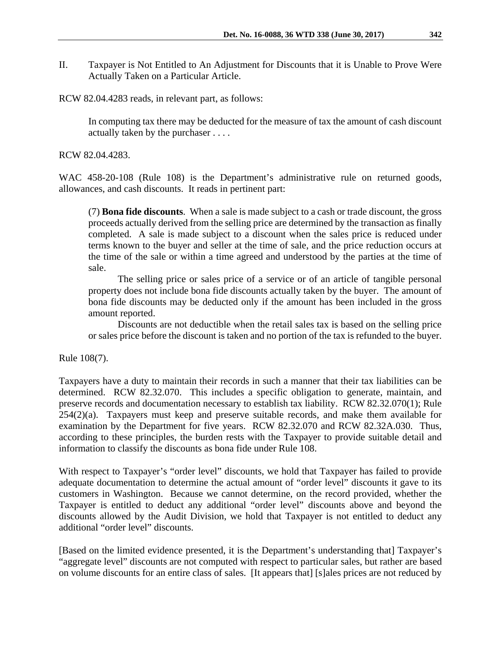II. Taxpayer is Not Entitled to An Adjustment for Discounts that it is Unable to Prove Were Actually Taken on a Particular Article.

RCW 82.04.4283 reads, in relevant part, as follows:

In computing tax there may be deducted for the measure of tax the amount of cash discount actually taken by the purchaser . . . .

RCW 82.04.4283.

WAC 458-20-108 (Rule 108) is the Department's administrative rule on returned goods, allowances, and cash discounts. It reads in pertinent part:

(7) **Bona fide discounts**. When a sale is made subject to a cash or trade discount, the gross proceeds actually derived from the selling price are determined by the transaction as finally completed. A sale is made subject to a discount when the sales price is reduced under terms known to the buyer and seller at the time of sale, and the price reduction occurs at the time of the sale or within a time agreed and understood by the parties at the time of sale.

The selling price or sales price of a service or of an article of tangible personal property does not include bona fide discounts actually taken by the buyer. The amount of bona fide discounts may be deducted only if the amount has been included in the gross amount reported.

Discounts are not deductible when the retail sales tax is based on the selling price or sales price before the discount is taken and no portion of the tax is refunded to the buyer.

Rule 108(7).

Taxpayers have a duty to maintain their records in such a manner that their tax liabilities can be determined. RCW 82.32.070. This includes a specific obligation to generate, maintain, and preserve records and documentation necessary to establish tax liability. RCW 82.32.070(1); Rule 254(2)(a). Taxpayers must keep and preserve suitable records, and make them available for examination by the Department for five years. RCW 82.32.070 and RCW 82.32A.030. Thus, according to these principles, the burden rests with the Taxpayer to provide suitable detail and information to classify the discounts as bona fide under Rule 108.

With respect to Taxpayer's "order level" discounts, we hold that Taxpayer has failed to provide adequate documentation to determine the actual amount of "order level" discounts it gave to its customers in Washington. Because we cannot determine, on the record provided, whether the Taxpayer is entitled to deduct any additional "order level" discounts above and beyond the discounts allowed by the Audit Division, we hold that Taxpayer is not entitled to deduct any additional "order level" discounts.

[Based on the limited evidence presented, it is the Department's understanding that] Taxpayer's "aggregate level" discounts are not computed with respect to particular sales, but rather are based on volume discounts for an entire class of sales. [It appears that] [s]ales prices are not reduced by